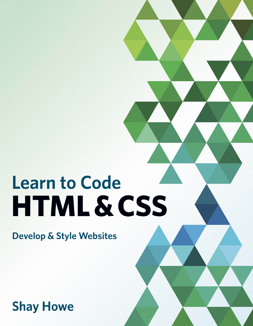# **Learn to Code HTML & CSS**

**Develop & Style Websites** 

**Shay Howe**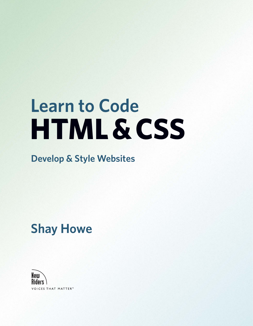# **Learn to Code HTML & CSS**

**Develop & Style Websites**

**Shay Howe**

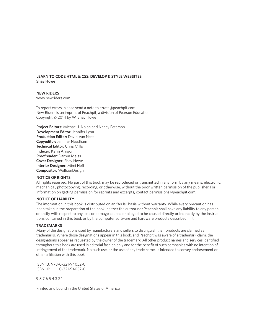#### **LEARN TO CODE HTML & CSS: DEVELOP & STYLE WEBSITES Shay Howe**

#### **NEW RIDERS**

[www.newriders.com](http://www.newriders.com)

To report errors, please send a note to errata@peachpit.com New Riders is an imprint of Peachpit, a division of Pearson Education. Copyright © 2014 by W. Shay Howe

**Project Editors:** Michael J. Nolan and Nancy Peterson **Development Editor:** Jennifer Lynn **Production Editor:** David Van Ness **Copyeditor:** Jennifer Needham **Technical Editor:** Chris Mills **Indexer:** Karin Arrigoni **Proofreader:** Darren Meiss **Cover Designer:** Shay Howe **Interior Designer:** Mimi Heft **Compositor:** WolfsonDesign

#### **NOTICE OF RIGHTS**

All rights reserved. No part of this book may be reproduced or transmitted in any form by any means, electronic, mechanical, photocopying, recording, or otherwise, without the prior written permission of the publisher. For information on getting permission for reprints and excerpts, contact permissions@peachpit.com.

#### **NOTICE OF LIABILITY**

The information in this book is distributed on an "As Is" basis without warranty. While every precaution has been taken in the preparation of the book, neither the author nor Peachpit shall have any liability to any person or entity with respect to any loss or damage caused or alleged to be caused directly or indirectly by the instructions contained in this book or by the computer software and hardware products described in it.

#### **TRADEMARKS**

Many of the designations used by manufacturers and sellers to distinguish their products are claimed as trademarks. Where those designations appear in this book, and Peachpit was aware of a trademark claim, the designations appear as requested by the owner of the trademark. All other product names and services identified throughout this book are used in editorial fashion only and for the benefit of such companies with no intention of infringement of the trademark. No such use, or the use of any trade name, is intended to convey endorsement or other affiliation with this book.

ISBN 13: 978-0-321-94052-0 ISBN 10: 0-321-94052-0

9 8 7 6 5 4 3 2 1

Printed and bound in the United States of America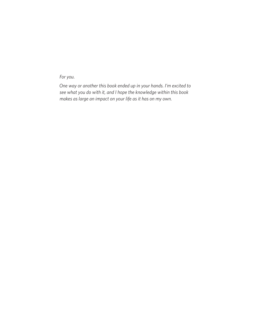*For you.*

*One way or another this book ended up in your hands. I'm excited to see what you do with it, and I hope the knowledge within this book makes as large an impact on your life as it has on my own.*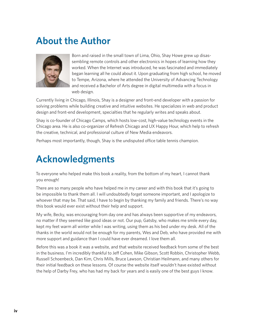# **About the Author**



Born and raised in the small town of Lima, Ohio, Shay Howe grew up disassembling remote controls and other electronics in hopes of learning how they worked. When the Internet was introduced, he was fascinated and immediately began learning all he could about it. Upon graduating from high school, he moved to Tempe, Arizona, where he attended the University of Advancing Technology and received a Bachelor of Arts degree in digital multimedia with a focus in web design.

Currently living in Chicago, Illinois, Shay is a designer and front-end developer with a passion for solving problems while building creative and intuitive websites. He specializes in web and product design and front-end development, specialties that he regularly writes and speaks about.

Shay is co-founder of Chicago Camps, which hosts low-cost, high-value technology events in the Chicago area. He is also co-organizer of Refresh Chicago and UX Happy Hour, which help to refresh the creative, technical, and professional culture of New Media endeavors.

Perhaps most importantly, though, Shay is the undisputed office table tennis champion.

# **Acknowledgments**

To everyone who helped make this book a reality, from the bottom of my heart, I cannot thank you enough!

There are so many people who have helped me in my career and with this book that it's going to be impossible to thank them all. I will undoubtedly forget someone important, and I apologize to whoever that may be. That said, I have to begin by thanking my family and friends. There's no way this book would ever exist without their help and support.

My wife, Becky, was encouraging from day one and has always been supportive of my endeavors, no matter if they seemed like good ideas or not. Our pup, Gatsby, who makes me smile every day, kept my feet warm all winter while I was writing, using them as his bed under my desk. All of the thanks in the world would not be enough for my parents, Wes and Deb, who have provided me with more support and guidance than I could have ever dreamed. I love them all.

Before this was a book it was a website, and that website received feedback from some of the best in the business. I'm incredibly thankful to Jeff Cohen, Mike Gibson, Scott Robbin, Christopher Webb, Russell Schoenbeck, Dan Kim, Chris Mills, Bruce Lawson, Christian Heilmann, and many others for their initial feedback on these lessons. Of course the website itself wouldn't have existed without the help of Darby Frey, who has had my back for years and is easily one of the best guys I know.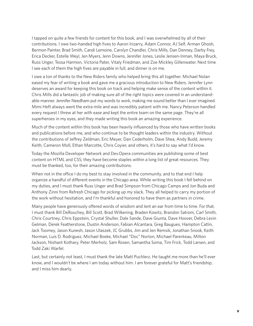I tapped on quite a few friends for content for this book, and I was overwhelmed by all of their contributions. I owe two-handed high fives to Aaron Irizarry, Adam Connor, AJ Self, Arman Ghosh, Bermon Painter, Brad Smith, Candi Lemoine, Carolyn Chandler, Chris Mills, Dan Denney, Darby Frey, Erica Decker, Estelle Weyl, Jen Myers, Jenn Downs, Jennifer Jones, Leslie Jensen-Inman, Maya Bruck, Russ Unger, Tessa Harmon, Victoria Pater, Vitaly Friedman, and Zoe Mickley Gillenwater. Next time I see each of them the high fives are payable in full, and dinner is on me.

I owe a ton of thanks to the New Riders family who helped bring this all together. Michael Nolan eased my fear of writing a book and gave me a gracious introduction to New Riders. Jennifer Lynn deserves an award for keeping this book on track and helping make sense of the content within it. Chris Mills did a fantastic job of making sure all of the right topics were covered in an understandable manner. Jennifer Needham put my words to work, making me sound better than I ever imagined. Mimi Heft always went the extra mile and was incredibly patient with me. Nancy Peterson handled every request I threw at her with ease and kept the entire team on the same page. They're all superheroes in my eyes, and they made writing this book an amazing experience.

Much of the content within this book has been heavily influenced by those who have written books and publications before me, and who continue to be thought leaders within the industry. Without the contributions of Jeffrey Zeldman, Eric Meyer, Dan Cederholm, Dave Shea, Andy Budd, Jeremy Keith, Cameron Moll, Ethan Marcotte, Chris Coyier, and others, it's hard to say what I'd know.

Today the Mozilla Developer Network and Dev.Opera communities are publishing some of best content on HTML and CSS; they have become staples within a long list of great resources. They must be thanked, too, for their amazing contributions.

When not in the office I do my best to stay involved in the community, and to that end I help organize a handful of different events in the Chicago area. While writing this book I fell behind on my duties, and I must thank Russ Unger and Brad Simpson from Chicago Camps and Jon Buda and Anthony Zinni from Refresh Chicago for picking up my slack. They all helped to carry my portion of the work without hesitation, and I'm thankful and honored to have them as partners in crime.

Many people have generously offered words of wisdom and lent an ear from time to time. For that, I must thank Bill DeRouchey, Bill Scott, Brad Wilkening, Braden Kowitz, Brandon Satrom, Carl Smith, Chris Courtney, Chris Eppstein, Crystal Shuller, Dale Sande, Dave Giunta, Dave Hoover, Debra Levin Gelman, Derek Featherstone, Dustin Anderson, Fabian Alcantara, Greg Baugues, Hampton Catlin, Jack Toomey, Jason Kunesh, Jason Ulaszek, JC Grubbs, Jim and Jen Remsik, Jonathan Snook, Keith Norman, Luis D. Rodriguez, Michael Boeke, Michael "Doc" Norton, Michael Parenteau, Milton Jackson, Nishant Kothary, Peter Merholz, Sam Rosen, Samantha Soma, Tim Frick, Todd Larsen, and Todd Zaki Warfel.

Last, but certainly not least, I must thank the late Matt Puchlerz. He taught me more than he'll ever know, and I wouldn't be where I am today without him. I am forever grateful for Matt's friendship, and I miss him dearly.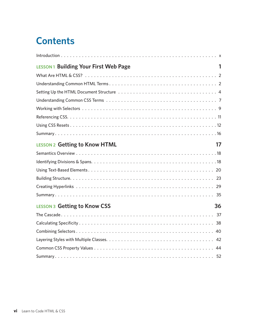# <span id="page-6-0"></span>**[Contents](#page-10-0)**

| <b>LESSON1 Building Your First Web Page</b><br>1 |
|--------------------------------------------------|
|                                                  |
|                                                  |
|                                                  |
|                                                  |
|                                                  |
|                                                  |
|                                                  |
|                                                  |
| <b>LESSON 2 Getting to Know HTML</b><br>17       |
|                                                  |
|                                                  |
|                                                  |
|                                                  |
|                                                  |
|                                                  |
| <b>LESSON 3 Getting to Know CSS</b><br>36        |
|                                                  |
|                                                  |
|                                                  |
|                                                  |
|                                                  |
|                                                  |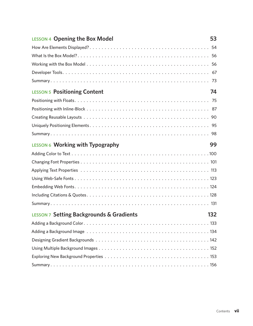<span id="page-7-0"></span>

| <b>LESSON 4 Opening the Box Model</b>    | 53  |
|------------------------------------------|-----|
|                                          |     |
|                                          |     |
|                                          |     |
|                                          |     |
|                                          |     |
| <b>LESSON 5 Positioning Content</b>      | 74  |
|                                          |     |
|                                          |     |
|                                          |     |
|                                          |     |
|                                          |     |
| LESSON 6 Working with Typography         | 99  |
|                                          |     |
|                                          |     |
|                                          |     |
|                                          |     |
|                                          |     |
|                                          |     |
|                                          |     |
| LESSON 7 Setting Backgrounds & Gradients | 132 |
|                                          |     |
|                                          |     |
|                                          |     |
|                                          |     |
|                                          |     |
|                                          |     |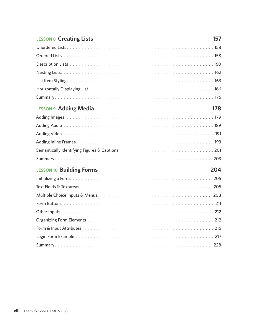### **LESSON 8 Creating Lists** 157

| <b>LESSON 9 Adding Media</b>    | 178 |
|---------------------------------|-----|
|                                 |     |
|                                 |     |
|                                 |     |
|                                 |     |
|                                 |     |
|                                 |     |
| <b>LESSON 10 Building Forms</b> | 204 |
|                                 |     |
|                                 |     |
|                                 |     |
|                                 |     |
|                                 |     |
|                                 |     |
|                                 |     |

[Login Form Example . . . . . . . . . . . . . . . . . . . . . . . . . . . . . . . . . . . . . . . . . . . . . . 217](#page--1-0) Summary [. . . . . . . . . . . . . . . . . . . . . . . . . . . . . . . . . . . . . . . . . . . . . . . . . . . . 228](#page--1-0)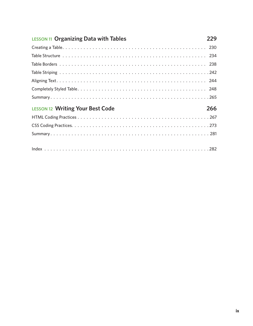<span id="page-9-0"></span>

| <b>LESSON 11 Organizing Data with Tables</b> | 229 |
|----------------------------------------------|-----|
|                                              |     |
|                                              |     |
|                                              |     |
|                                              |     |
|                                              |     |
|                                              |     |
|                                              |     |
| <b>LESSON 12 Writing Your Best Code</b>      | 266 |
|                                              |     |
|                                              |     |
|                                              |     |
|                                              |     |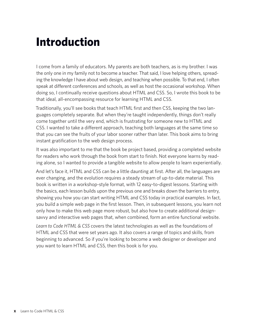# <span id="page-10-0"></span>**[Introduction](#page-6-0)**

I come from a family of educators. My parents are both teachers, as is my brother. I was the only one in my family not to become a teacher. That said, I love helping others, spreading the knowledge I have about web design, and teaching when possible. To that end, I often speak at different conferences and schools, as well as host the occasional workshop. When doing so, I continually receive questions about HTML and CSS. So, I wrote this book to be that ideal, all-encompassing resource for learning HTML and CSS.

Traditionally, you'll see books that teach HTML first and then CSS, keeping the two languages completely separate. But when they're taught independently, things don't really come together until the very end, which is frustrating for someone new to HTML and CSS. I wanted to take a different approach, teaching both languages at the same time so that you can see the fruits of your labor sooner rather than later. This book aims to bring instant gratification to the web design process.

It was also important to me that the book be project based, providing a completed website for readers who work through the book from start to finish. Not everyone learns by reading alone, so I wanted to provide a tangible website to allow people to learn experientially.

And let's face it, HTML and CSS can be a little daunting at first. After all, the languages are ever changing, and the evolution requires a steady stream of up-to-date material. This book is written in a workshop-style format, with 12 easy-to-digest lessons. Starting with the basics, each lesson builds upon the previous one and breaks down the barriers to entry, showing you how you can start writing HTML and CSS today in practical examples. In fact, you build a simple web page in the first lesson. Then, in subsequent lessons, you learn not only how to make this web page more robust, but also how to create additional designsavvy and interactive web pages that, when combined, form an entire functional website.

*Learn to Code HTML & CSS* covers the latest technologies as well as the foundations of HTML and CSS that were set years ago. It also covers a range of topics and skills, from beginning to advanced. So if you're looking to become a web designer or developer and you want to learn HTML and CSS, then this book is for you.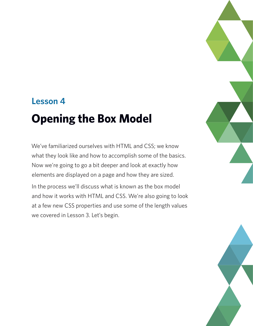# <span id="page-11-0"></span>**Lesson 4 [Opening the Box Model](#page-7-0)**

We've familiarized ourselves with HTML and CSS; we know what they look like and how to accomplish some of the basics. Now we're going to go a bit deeper and look at exactly how elements are displayed on a page and how they are sized.

In the process we'll discuss what is known as the box model and how it works with HTML and CSS. We're also going to look at a few new CSS properties and use some of the length values we covered in Lesson 3. Let's begin.

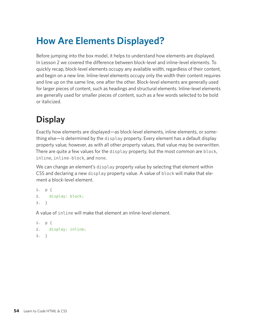# <span id="page-12-0"></span>**[How Are Elements Displayed?](#page-7-0)**

Before jumping into the box model, it helps to understand how elements are displayed. In Lesson 2 we covered the difference between block-level and inline-level elements. To quickly recap, block-level elements occupy any available width, regardless of their content, and begin on a new line. Inline-level elements occupy only the width their content requires and line up on the same line, one after the other. Block-level elements are generally used for larger pieces of content, such as headings and structural elements. Inline-level elements are generally used for smaller pieces of content, such as a few words selected to be bold or italicized.

# **Display**

Exactly how elements are displayed—as block-level elements, inline elements, or something else—is determined by the display property. Every element has a default display property value; however, as with all other property values, that value may be overwritten. There are quite a few values for the display property, but the most common are block, inline, inline-block, and none.

We can change an element's display property value by selecting that element within CSS and declaring a new display property value. A value of block will make that element a block-level element.

```
1. p {
2. display: block;
3. }
```
A value of inline will make that element an inline-level element.

```
1. p {
2. display: inline;
3. }
```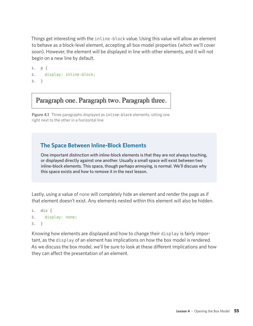Things get interesting with the inline-block value. Using this value will allow an element to behave as a block-level element, accepting all box model properties (which we'll cover soon). However, the element will be displayed in line with other elements, and it will not begin on a new line by default.

**1.** p { **2.** display: inline-block; **3.** }

# Paragraph one. Paragraph two. Paragraph three.

**Figure 4.1** Three paragraphs displayed as inline-block elements, sitting one right next to the other in a horizontal line

### **The Space Between Inline-Block Elements**

One important distinction with inline-block elements is that they are not always touching, or displayed directly against one another. Usually a small space will exist between two inline-block elements. This space, though perhaps annoying, is normal. We'll discuss why this space exists and how to remove it in the next lesson.

Lastly, using a value of none will completely hide an element and render the page as if that element doesn't exist. Any elements nested within this element will also be hidden.

```
1. div {
2. display: none;
3. }
```
Knowing how elements are displayed and how to change their display is fairly important, as the display of an element has implications on how the box model is rendered. As we discuss the box model, we'll be sure to look at these different implications and how they can affect the presentation of an element.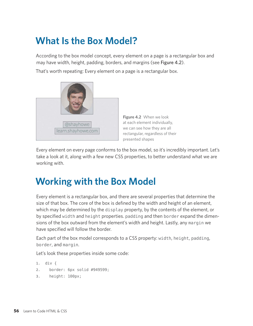# <span id="page-14-0"></span>**[What Is the Box Model?](#page-7-0)**

According to the box model concept, every element on a page is a rectangular box and may have width, height, padding, borders, and margins (see Figure 4.2).

That's worth repeating: Every element on a page is a rectangular box.

<span id="page-14-1"></span>

**Figure 4.2** When we look at each element individually, we can see how they are all rectangular, regardless of their presented shapes

Every element on every page conforms to the box model, so it's incredibly important. Let's take a look at it, along with a few new CSS properties, to better understand what we are working with.

# **[Working with the Box Model](#page-7-0)**

Every element is a rectangular box, and there are several properties that determine the size of that box. The core of the box is defined by the width and height of an element, which may be determined by the display property, by the contents of the element, or by specified width and height properties. padding and then border expand the dimensions of the box outward from the element's width and height. Lastly, any margin we have specified will follow the border.

Each part of the box model corresponds to a CSS property: width, height, padding, border, and margin.

Let's look these properties inside some code:

```
1. div {
```
- **2.** border: 6px solid #949599;
- **3.** height: 100px;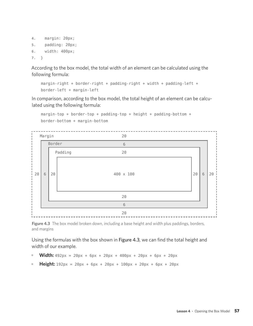```
4. margin: 20px;
5. padding: 20px;
6. width: 400px;
7. }
```
According to the box model, the total width of an element can be calculated using the following formula:

```
margin-right + border-right + padding-right + width + padding-left + 
border-left + margin-left
```
In comparison, according to the box model, the total height of an element can be calculated using the following formula:

```
margin-top + border-top + padding-top + height + padding-bottom +
border-bottom + margin-bottom
```


**Figure 4.3** The box model broken down, including a base height and width plus paddings, borders, and margins

Using the formulas with the box shown in Figure 4.3, we can find the total height and width of our example.

- **Width:**  $492px = 20px + 6px + 20px + 400px + 20px + 6px + 20px$
- **Height:**  $192px = 20px + 6px + 20px + 100px + 20px + 6px + 20px$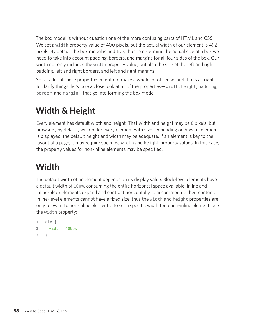The box model is without question one of the more confusing parts of HTML and CSS. We set a width property value of 400 pixels, but the actual width of our element is 492 pixels. By default the box model is additive; thus to determine the actual size of a box we need to take into account padding, borders, and margins for all four sides of the box. Our width not only includes the width property value, but also the size of the left and right padding, left and right borders, and left and right margins.

So far a lot of these properties might not make a whole lot of sense, and that's all right. To clarify things, let's take a close look at all of the properties—width, height, padding, border, and margin—that go into forming the box model.

# **Width & Height**

Every element has default width and height. That width and height may be 0 pixels, but browsers, by default, will render every element with size. Depending on how an element is displayed, the default height and width may be adequate. If an element is key to the layout of a page, it may require specified width and height property values. In this case, the property values for non-inline elements may be specified.

# **Width**

The default width of an element depends on its display value. Block-level elements have a default width of 100%, consuming the entire horizontal space available. Inline and inline-block elements expand and contract horizontally to accommodate their content. Inline-level elements cannot have a fixed size, thus the width and height properties are only relevant to non-inline elements. To set a specific width for a non-inline element, use the width property:

```
1. div {
2. width: 400px;
3. }
```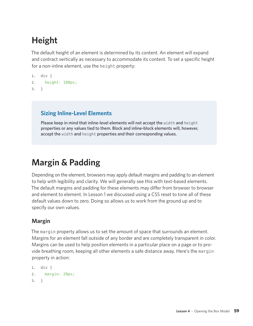# **Height**

The default height of an element is determined by its content. An element will expand and contract vertically as necessary to accommodate its content. To set a specific height for a non-inline element, use the height property:

```
1. div {
```

```
2. height: 100px;
```
**3.** }

### **Sizing Inline-Level Elements**

Please keep in mind that inline-level elements will not accept the width and height properties or any values tied to them. Block and inline-block elements will, however, accept the width and height properties and their corresponding values.

# **Margin & Padding**

Depending on the element, browsers may apply default margins and padding to an element to help with legibility and clarity. We will generally see this with text-based elements. The default margins and padding for these elements may differ from browser to browser and element to element. In Lesson 1 we discussed using a CSS reset to tone all of these default values down to zero. Doing so allows us to work from the ground up and to specify our own values.

## **Margin**

The margin property allows us to set the amount of space that surrounds an element. Margins for an element fall outside of any border and are completely transparent in color. Margins can be used to help position elements in a particular place on a page or to provide breathing room, keeping all other elements a safe distance away. Here's the margin property in action:

```
1. div {
2. margin: 20px;
3. }
```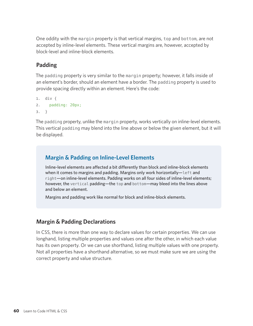One oddity with the margin property is that vertical margins, top and bottom, are not accepted by inline-level elements. These vertical margins are, however, accepted by block-level and inline-block elements.

### **Padding**

The padding property is very similar to the margin property; however, it falls inside of an element's border, should an element have a border. The padding property is used to provide spacing directly within an element. Here's the code:

```
1. div {
2. padding: 20px;
3. }
```
The padding property, unlike the margin property, works vertically on inline-level elements. This vertical padding may blend into the line above or below the given element, but it will be displayed.

### **Margin & Padding on Inline-Level Elements**

Inline-level elements are affected a bit differently than block and inline-block elements when it comes to margins and padding. Margins only work horizontally—left and right—on inline-level elements. Padding works on all four sides of inline-level elements; however, the vertical padding—the top and bottom—may bleed into the lines above and below an element.

Margins and padding work like normal for block and inline-block elements.

#### **Margin & Padding Declarations**

In CSS, there is more than one way to declare values for certain properties. We can use longhand, listing multiple properties and values one after the other, in which each value has its own property. Or we can use shorthand, listing multiple values with one property. Not all properties have a shorthand alternative, so we must make sure we are using the correct property and value structure.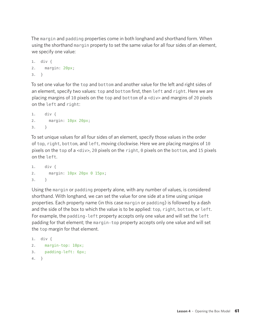The margin and padding properties come in both longhand and shorthand form. When using the shorthand margin property to set the same value for all four sides of an element, we specify one value:

```
1. div {
2. margin: 20px;
3. }
```
To set one value for the top and bottom and another value for the left and right sides of an element, specify two values: top and bottom first, then left and right. Here we are placing margins of 10 pixels on the top and bottom of a <div> and margins of 20 pixels on the left and right:

```
1. div {
2. margin: 10px 20px;
3. }
```
To set unique values for all four sides of an element, specify those values in the order of top, right, bottom, and left, moving clockwise. Here we are placing margins of 10 pixels on the top of a  $\langle \text{div} \rangle$ , 20 pixels on the right, 0 pixels on the bottom, and 15 pixels on the left.

```
1. div {
2. margin: 10px 20px 0 15px;
3. }
```
Using the margin or padding property alone, with any number of values, is considered shorthand. With longhand, we can set the value for one side at a time using unique properties. Each property name (in this case margin or padding) is followed by a dash and the side of the box to which the value is to be applied: top, right, bottom, or left. For example, the padding-left property accepts only one value and will set the left padding for that element; the margin-top property accepts only one value and will set the top margin for that element.

```
1. div {
2. margin-top: 10px;
3. padding-left: 6px;
4. }
```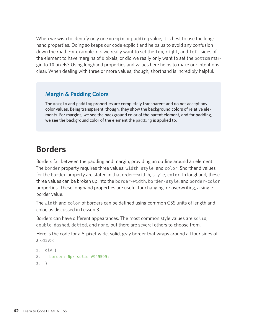When we wish to identify only one margin or padding value, it is best to use the longhand properties. Doing so keeps our code explicit and helps us to avoid any confusion down the road. For example, did we really want to set the top, right, and left sides of the element to have margins of 0 pixels, or did we really only want to set the bottom margin to 10 pixels? Using longhand properties and values here helps to make our intentions clear. When dealing with three or more values, though, shorthand is incredibly helpful.

### **Margin & Padding Colors**

The margin and padding properties are completely transparent and do not accept any color values. Being transparent, though, they show the background colors of relative elements. For margins, we see the background color of the parent element, and for padding, we see the background color of the element the padding is applied to.

# **Borders**

Borders fall between the padding and margin, providing an outline around an element. The border property requires three values: width, style, and color. Shorthand values for the border property are stated in that order—width, style, color. In longhand, these three values can be broken up into the border-width, border-style, and border-color properties. These longhand properties are useful for changing, or overwriting, a single border value.

The width and color of borders can be defined using common CSS units of length and color, as discussed in Lesson 3.

Borders can have different appearances. The most common style values are solid, double, dashed, dotted, and none, but there are several others to choose from.

Here is the code for a 6-pixel-wide, solid, gray border that wraps around all four sides of  $a$  <div>:

```
1. div {
2. border: 6px solid #949599;
3. }
```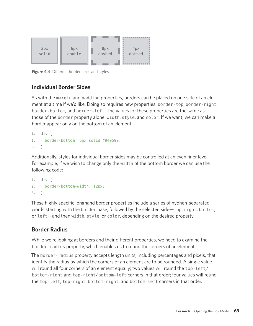

**Figure 4.4** Different border sizes and styles

## **Individual Border Sides**

As with the margin and padding properties, borders can be placed on one side of an element at a time if we'd like. Doing so requires new properties: border-top, border-right, border-bottom, and border-left. The values for these properties are the same as those of the border property alone: width, style, and color. If we want, we can make a border appear only on the bottom of an element:

```
1. div {
2. border-bottom: 6px solid #949599;
3. }
```
Additionally, styles for individual border sides may be controlled at an even finer level. For example, if we wish to change only the width of the bottom border we can use the following code:

```
1. div {
2. border-bottom-width: 12px;
3. }
```
These highly specific longhand border properties include a series of hyphen-separated words starting with the border base, followed by the selected side—top, right, bottom, or left—and then width, style, or color, depending on the desired property.

## **Border Radius**

While we're looking at borders and their different properties, we need to examine the border-radius property, which enables us to round the corners of an element.

The border-radius property accepts length units, including percentages and pixels, that identify the radius by which the corners of an element are to be rounded. A single value will round all four corners of an element equally; two values will round the top-left/ bottom-right and top-right/bottom-left corners in that order; four values will round the top-left, top-right, bottom-right, and bottom-left corners in that order.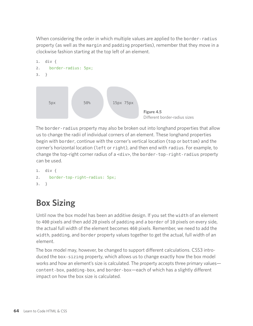When considering the order in which multiple values are applied to the border-radius property (as well as the margin and padding properties), remember that they move in a clockwise fashion starting at the top left of an element.



The border-radius property may also be broken out into longhand properties that allow us to change the radii of individual corners of an element. These longhand properties begin with border, continue with the corner's vertical location (top or bottom) and the corner's horizontal location (left or right), and then end with radius. For example, to change the top-right corner radius of a <div>, the border-top-right-radius property can be used.

```
1. div {
2. border-top-right—radius: 5px;
3. }
```
# **Box Sizing**

Until now the box model has been an additive design. If you set the width of an element to 400 pixels and then add 20 pixels of padding and a border of 10 pixels on every side, the actual full width of the element becomes 460 pixels. Remember, we need to add the width, padding, and border property values together to get the actual, full width of an element.

The box model may, however, be changed to support different calculations. CSS3 introduced the box-sizing property, which allows us to change exactly how the box model works and how an element's size is calculated. The property accepts three primary values content-box, padding-box, and border-box—each of which has a slightly different impact on how the box size is calculated.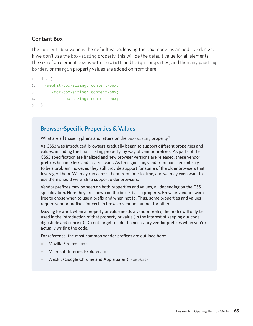### **Content Box**

The content-box value is the default value, leaving the box model as an additive design. If we don't use the box-sizing property, this will be the default value for all elements. The size of an element begins with the width and height properties, and then any padding, border, or margin property values are added on from there.

```
1. div {
2. -webkit-box-sizing: content-box;
3. -moz-box-sizing: content-box;
4. box-sizing: content-box;
5. }
```
### **Browser-Specific Properties & Values**

What are all those hyphens and letters on the box-sizing property?

As CSS3 was introduced, browsers gradually began to support different properties and values, including the box-sizing property, by way of vendor prefixes. As parts of the CSS3 specification are finalized and new browser versions are released, these vendor prefixes become less and less relevant. As time goes on, vendor prefixes are unlikely to be a problem; however, they still provide support for some of the older browsers that leveraged them. We may run across them from time to time, and we may even want to use them should we wish to support older browsers.

Vendor prefixes may be seen on both properties and values, all depending on the CSS specification. Here they are shown on the box-sizing property. Browser vendors were free to chose when to use a prefix and when not to. Thus, some properties and values require vendor prefixes for certain browser vendors but not for others.

Moving forward, when a property or value needs a vendor prefix, the prefix will only be used in the introduction of that property or value (in the interest of keeping our code digestible and concise). Do not forget to add the necessary vendor prefixes when you're actually writing the code.

For reference, the most common vendor prefixes are outlined here:

- Mozilla Firefox: -moz-
- Microsoft Internet Explorer: -ms-
- Webkit (Google Chrome and Apple Safari): -webkit-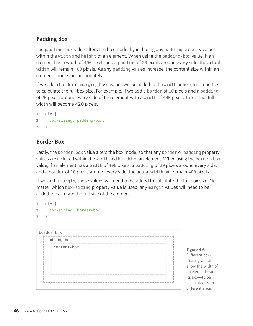# **Padding Box**

The padding-box value alters the box model by including any padding property values within the width and height of an element. When using the padding-box value, if an element has a width of 400 pixels and a padding of 20 pixels around every side, the actual width will remain 400 pixels. As any padding values increase, the content size within an element shrinks proportionately.

If we add a border or margin, those values will be added to the width or height properties to calculate the full box size. For example, if we add a border of 10 pixels and a padding of 20 pixels around every side of the element with a width of 400 pixels, the actual full width will become 420 pixels.

```
1. div {
2. box-sizing: padding-box;
3. }
```
### **Border Box**

Lastly, the border-box value alters the box model so that any border or padding property values are included within the width and height of an element. When using the border-box value, if an element has a width of 400 pixels, a padding of 20 pixels around every side, and a border of 10 pixels around every side, the actual width will remain 400 pixels.

If we add a margin, those values will need to be added to calculate the full box size. No matter which box-sizing property value is used, any margin values will need to be added to calculate the full size of the element.

```
1. div {
2. box-sizing: border-box;
3. }
```


Different boxsizing values allow the width of an element—and its box—to be calculated from different areas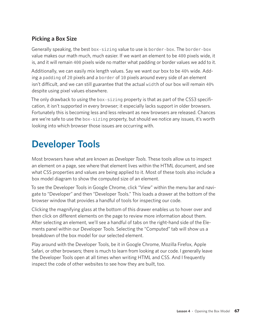### **Picking a Box Size**

Generally speaking, the best box-sizing value to use is border-box. The border-box value makes our math much, much easier. If we want an element to be 400 pixels wide, it is, and it will remain 400 pixels wide no matter what padding or border values we add to it.

Additionally, we can easily mix length values. Say we want our box to be 40% wide. Adding a padding of 20 pixels and a border of 10 pixels around every side of an element isn't difficult, and we can still guarantee that the actual width of our box will remain 40% despite using pixel values elsewhere.

<span id="page-25-0"></span>The only drawback to using the box-sizing property is that as part of the CSS3 specification, it isn't supported in every browser; it especially lacks support in older browsers. Fortunately this is becoming less and less relevant as new browsers are released. Chances are we're safe to use the box-sizing property, but should we notice any issues, it's worth looking into which browser those issues are occurring with.

# **[Developer Tools](#page-7-0)**

Most browsers have what are known as *Developer Tools*. These tools allow us to inspect an element on a page, see where that element lives within the HTML document, and see what CSS properties and values are being applied to it. Most of these tools also include a box model diagram to show the computed size of an element.

To see the Developer Tools in Google Chrome, click "View" within the menu bar and navigate to "Developer" and then "Developer Tools." This loads a drawer at the bottom of the browser window that provides a handful of tools for inspecting our code.

Clicking the magnifying glass at the bottom of this drawer enables us to hover over and then click on different elements on the page to review more information about them. After selecting an element, we'll see a handful of tabs on the right-hand side of the Elements panel within our Developer Tools. Selecting the "Computed" tab will show us a breakdown of the box model for our selected element.

Play around with the Developer Tools, be it in Google Chrome, Mozilla Firefox, Apple Safari, or other browsers; there is much to learn from looking at our code. I generally leave the Developer Tools open at all times when writing HTML and CSS. And I frequently inspect the code of other websites to see how they are built, too.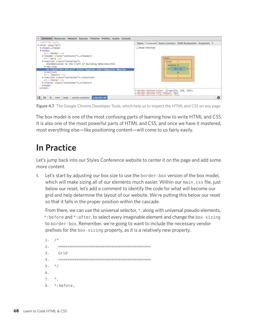| DOCTYPE html                                                                                                                                                                                                                                                                                                                                                                                                                                                                                                                                                                                                                                                                                                                                                                     | Styles Computed Event Listeners DOM Breakpoints Properties »                                                         |   |
|----------------------------------------------------------------------------------------------------------------------------------------------------------------------------------------------------------------------------------------------------------------------------------------------------------------------------------------------------------------------------------------------------------------------------------------------------------------------------------------------------------------------------------------------------------------------------------------------------------------------------------------------------------------------------------------------------------------------------------------------------------------------------------|----------------------------------------------------------------------------------------------------------------------|---|
| Elements Resources Network Sources Timeline Profiles Audits Console<br>×<br>v <html lang="en"><br/>&gt; <head>_</head><br/><math>v</math> <br/>body&gt;<br/><math>\leftarrow</math> -- Header --&gt;<br/>&gt; <header class="container">_</header><br><math>\leftarrow</math> -- Hero --&gt;<br/>v<section class="container"><br/><h2>Dedicated to the Craft of Building Websites</h2><br/>P &lt; p &gt;  &lt; /p<br/><a class="btn btn-alt" href="register.html">Register Now</a><br/></section><br/><math>\leftarrow</math> -- Teasers --&gt;<br/>&gt; <section class="container"> </section><br/><math>\leftarrow</math> Footer <math>\rightarrow</math><br/>&gt;<footer class="container">_</footer><br/><math>\lt</math>/body&gt;<br/><math>\lt/</math>html&gt;</br></html> | Show inherited<br>margin<br>border<br>padding 10<br>$1 30$ $88 \times 16$ $30 1$ -<br>10<br>.                        |   |
|                                                                                                                                                                                                                                                                                                                                                                                                                                                                                                                                                                                                                                                                                                                                                                                  | > border-bottom-color: @rgb(223, 226, 229);<br>> border-bottom-left-radius: Spx:<br>harder-hattom-right-radius: Savy | 烧 |
| $\Box$ $> \Xi$<br>a.btn.btn-alt<br>section.container<br>body<br>html                                                                                                                                                                                                                                                                                                                                                                                                                                                                                                                                                                                                                                                                                                             |                                                                                                                      |   |

**Figure 4.7** The Google Chrome Developer Tools, which help us to inspect the HTML and CSS on any page

The box model is one of the most confusing parts of learning how to write HTML and CSS. It is also one of the most powerful parts of HTML and CSS, and once we have it mastered, most everything else—like positioning content—will come to us fairly easily.

# **In Practice**

Let's jump back into our Styles Conference website to center it on the page and add some more content.

**1.** Let's start by adjusting our box size to use the border-box version of the box model, which will make sizing all of our elements much easier. Within our main.css file, just below our reset, let's add a comment to identify the code for what will become our grid and help determine the layout of our website. We're putting this below our reset so that it falls in the proper position within the cascade.

From there, we can use the universal selector, \*, along with universal pseudo-elements, \*:before and \*:after, to select every imaginable element and change the box-sizing to border-box. Remember, we're going to want to include the necessary vendor prefixes for the box-sizing property, as it is a relatively new property.

```
1. /*
2. ========================================
3. Grid
4. ========================================
5. */
6.
7. *,
8. *:before,
```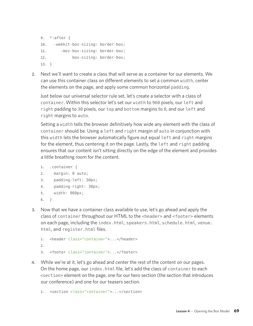```
9. *:after {
10. -webkit-box-sizing: border-box;
11. -moz-box-sizing: border-box;
12. box-sizing: border-box;
13. }
```
**2.** Next we'll want to create a class that will serve as a container for our elements. We can use this container class on different elements to set a common width, center the elements on the page, and apply some common horizontal padding.

Just below our universal selector rule set, let's create a selector with a class of container. Within this selector let's set our width to 960 pixels, our left and right padding to 30 pixels, our top and bottom margins to 0, and our left and right margins to auto.

Setting a width tells the browser definitively how wide any element with the class of container should be. Using a left and right margin of auto in conjunction with this width lets the browser automatically figure out equal left and right margins for the element, thus centering it on the page. Lastly, the left and right padding ensures that our content isn't sitting directly on the edge of the element and provides a little breathing room for the content.

```
1. .container {
```

```
2. margin: 0 auto;
```

```
3. padding-left: 30px;
```
- **4.** padding-right: 30px;
- **5.** width: 960px;
- **6.** }
- **3.** Now that we have a container class available to use, let's go ahead and apply the class of container throughout our HTML to the <header> and <footer> elements on each page, including the index.html, speakers.html, schedule.html, venue. html, and register.html files.

```
1. <header class="container">...</header>
```
**2.**

**3.** <footer class="container">...</footer>

**4.** While we're at it, let's go ahead and center the rest of the content on our pages. On the home page, our index.html file, let's add the class of container to each <section> element on the page, one for our hero section (the section that introduces our conference) and one for our teasers section.

1. <section class="container">...</section>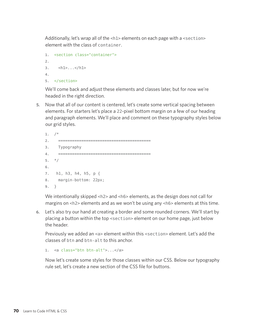Additionally, let's wrap all of the <h1> elements on each page with a <section> element with the class of container.

```
1. <section class="container">
2.
3. <h1>...</h1>
4.
5. </section>
```
We'll come back and adjust these elements and classes later, but for now we're headed in the right direction.

**5.** Now that all of our content is centered, let's create some vertical spacing between elements. For starters let's place a 22-pixel bottom margin on a few of our heading and paragraph elements. We'll place and comment on these typography styles below our grid styles.

```
1. /*
2. ========================================
3. Typography
4. ========================================
5. */
6.
7. h1, h3, h4, h5, p {
8. margin-bottom: 22px;
9. }
```
We intentionally skipped <h2> and <h6> elements, as the design does not call for margins on <h2> elements and as we won't be using any <h6> elements at this time.

**6.** Let's also try our hand at creating a border and some rounded corners. We'll start by placing a button within the top <section> element on our home page, just below the header.

Previously we added an <a> element within this <section> element. Let's add the classes of btn and btn-alt to this anchor.

```
1. <a class="btn btn-alt">...</a>
```
Now let's create some styles for those classes within our CSS. Below our typography rule set, let's create a new section of the CSS file for buttons.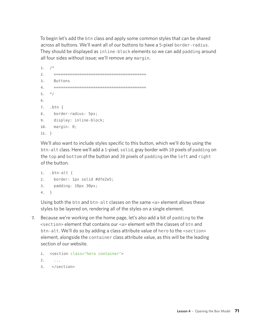To begin let's add the btn class and apply some common styles that can be shared across all buttons. We'll want all of our buttons to have a 5-pixel border-radius. They should be displayed as inline-block elements so we can add padding around all four sides without issue; we'll remove any margin.

```
1. /*
2. ========================================
3. Buttons
4. ========================================
5. */
6.
7. .btn {
8. border-radius: 5px;
9. display: inline-block;
10. margin: 0;
11. }
```
We'll also want to include styles specific to this button, which we'll do by using the btn-alt class. Here we'll add a 1-pixel, solid, gray border with 10 pixels of padding on the top and bottom of the button and 30 pixels of padding on the left and right of the button.

```
1. .btn-alt {
2. border: 1px solid #dfe2e5;
3. padding: 10px 30px;
4. }
```
Using both the btn and btn-alt classes on the same <a> element allows these styles to be layered on, rendering all of the styles on a single element.

**7.** Because we're working on the home page, let's also add a bit of padding to the <section> element that contains our <a> element with the classes of btn and btn-alt. We'll do so by adding a class attribute value of hero to the <section> element, alongside the container class attribute value, as this will be the leading section of our website.

```
1. <section class="hero container">
2. ...
```

```
3. </section>
```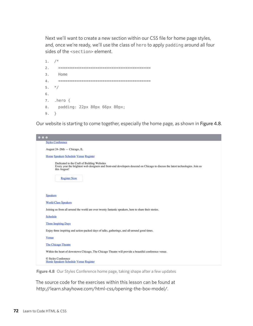Next we'll want to create a new section within our CSS file for home page styles, and, once we're ready, we'll use the class of hero to apply padding around all four sides of the <section> element.

**1.** /\* **2.** ======================================== **3.** Home **4.** ======================================== **5.** \*/ **6. 7.** .hero { **8.** padding: 22px 80px 66px 80px; **9.** }

Our website is starting to come together, especially the home page, as shown in Figure 4.8.



**Figure 4.8** Our Styles Conference home page, taking shape after a few updates

The source code for the exercises within this lesson can be found at [http://learn.shayhowe.com/html-css/opening-the-box-model/.](http://learn.shayhowe.com/html-css/opening-the-box-model/)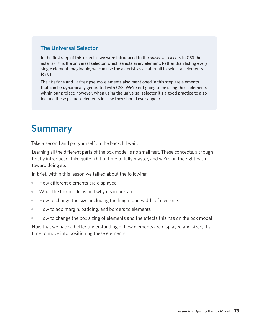### <span id="page-31-0"></span>**The Universal Selector**

In the first step of this exercise we were introduced to the *universal selector*. In CSS the asterisk,  $*$ , is the universal selector, which selects every element. Rather than listing every single element imaginable, we can use the asterisk as a catch-all to select all elements for us.

The :before and :after pseudo-elements also mentioned in this step are elements that can be dynamically generated with CSS. We're not going to be using these elements within our project; however, when using the universal selector it's a good practice to also include these pseudo-elements in case they should ever appear.

# **[Summary](#page-7-0)**

Take a second and pat yourself on the back. I'll wait.

Learning all the different parts of the box model is no small feat. These concepts, although briefly introduced, take quite a bit of time to fully master, and we're on the right path toward doing so.

In brief, within this lesson we talked about the following:

- How different elements are displayed
- What the box model is and why it's important
- How to change the size, including the height and width, of elements
- How to add margin, padding, and borders to elements
- How to change the box sizing of elements and the effects this has on the box model

Now that we have a better understanding of how elements are displayed and sized, it's time to move into positioning these elements.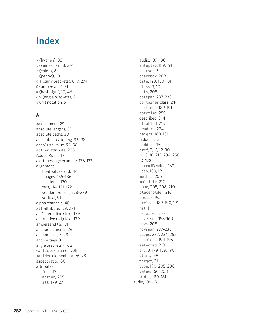# <span id="page-32-0"></span>**[Index](#page-9-0)**

- (hyphen), 38 ; (semicolon), 8, 274 : (colon), 8 . (period), 10 { } (curly brackets), 8, 9, 274 & (ampersand), 31 # (hash sign), 10, 46 < > (angle brackets), 2 % unit notation, 51

### **A**

<a> element, 29 absolute lengths, 50 absolute paths, 30 absolute positioning, 96–98 absolute value, 96–98 action attribute, 205 Adobe Kuler, 47 alert message example, 136–137 alignment float values and, 114 images, 185–186 list items, 170 text, 114, 121, 122 vendor prefixes, 278–279 vertical, 91 alpha channels, 48 alt attribute, 179, 271 alt (alternative) text, 179 alternative (alt) text, 179 ampersand (&), 31 anchor elements, 29 anchor links, 3, 29 anchor tags, 3 angle brackets < >, 2 <article> element, 25 <aside> element, 26, 76, 78 aspect ratio, 180 attributes for, 213 action, 205 alt, 179, 271

audio, 189–190 autoplay, 189, 191 charset, 5 checkbox, 209 cite, 129, 130–131 class, 3, 10 cols, 208 colspan, 237–238 container class, 244 controls, 189, 191 datetime, 255 described, 3–4 disabled, 215 headers, 234 height, 180–181 hidden, 215 hidden, 215 href, 3, 11, 12, 30 id, 3, 10, 213, 234, 256 ID, 172 intro ID value, 267 loop, 189, 191 method, 205 multiple, 210 name, 205, 208, 210 placeholder, 216 poster, 192 preload, 189–190, 191 rel, 11 required, 216 reversed, 158–160 rows, 208 rowspan, 237–238 scope, 232, 234, 255 seamless, 194–195 selected, 210 src, 3, 179, 189, 190 start, 159 target, 31 type, 190, 205–208 value, 160, 208 width, 180–181 audio, 189–191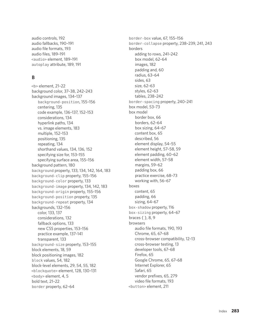audio controls, 192 audio fallbacks, 190–191 audio file formats, 193 audio files, 189–191 <audio> element, 189–191 autoplay attribute, 189, 191

### **B**

<b> element, 21–22 background color, 37–38, 242–243 background images, 134–137 background-position, 155–156 centering, 135 code example, 136–137, 152–153 considerations, 134 hyperlink paths, 134 vs. image elements, 183 multiple, 152–153 positioning, 135 repeating, 134 shorthand values, 134, 136, 152 specifying size for, 153–155 specifying surface area, 155–156 background pattern, 180 background property, 133, 134, 142, 164, 183 background-clip property, 155–156 background-color property, 133 background-image property, 134, 142, 183 background-origin property, 155–156 background-position property, 135 background-repeat property, 134 backgrounds, 132–156 color, 133, 137 considerations, 132 fallback options, 133 new CSS properties, 153–156 practice example, 137–141 transparent, 133 background-size property, 153–155 block elements, 18, 59 block positioning images, 182 block values, 54, 182 block-level elements, 29, 54, 55, 182 <blockquote> element, 128, 130–131 <body> element, 4, 5 bold text, 21–22 border property, 62–64

border-box value, 67, 155–156 border-collapse property, 238–239, 241, 243 borders adding to rows, 241–242 box model, 62–64 images, 182 padding and, 60 radius, 63–64 sides, 63 size, 62–63 styles, 62–63 tables, 238–242 border-spacing property, 240–241 box model, 53–73 box model border box, 66 borders, 62–64 box sizing, 64–67 content box, 65 described, 56 element display, 54–55 element height, 57–58, 59 element padding, 60–62 element width, 57–58 margins, 59–62 padding box, 66 practice exercise, 68–73 working with, 56–67 boxes content, 65 padding, 66 sizing, 64–67 box-shadow property, 116 box-sizing property, 64–67 braces { }, 8, 9 browsers audio file formats, 190, 193 Chrome, 65, 67–68 cross-browser compatibility, 12–13 cross-browser testing, 13 developer tools, 67–68 Firefox, 65 Google Chrome, 65, 67–68 Internet Explorer, 65 Safari, 65 vendor prefixes, 65, 279 video file formats, 193 <button> element, 211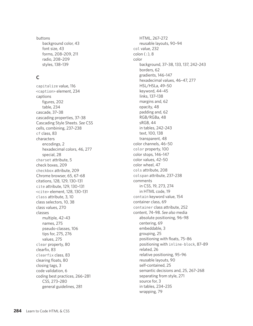buttons background color, 43 font size, 43 forms, 208–209, 211 radio, 208–209 styles, 138–139

### **C**

capitalize value, 116 <caption> element, 234 captions figures, 202 table, 234 cascade, 37–38 cascading properties, 37–38 Cascading Style Sheets. *See* CSS cells, combining, 237–238 cf class, 83 characters encodings, 2 hexadecimal colors, 46, 277 special, 28 charset attribute, 5 check boxes, 209 checkbox attribute, 209 Chrome browser, 65, 67–68 citations, 128, 129, 130–131 cite attribute, 129, 130–131 <cite> element, 128, 130–131 class attribute, 3, 10 class selectors, 10, 38 class values, 270 classes multiple, 42–43 names, 275 pseudo-classes, 106 tips for, 275, 276 values, 275 clear property, 80 clearfix, 83 clearfix class, 83 clearing floats, 80 closing tags, 3 code validation, 6 coding best practices, 266–281 CSS, 273–280 general guidelines, 281

HTML, 267–272 reusable layouts, 90–94 col value, 232 colon (:), 8 color background, 37–38, 133, 137, 242–243 borders, 62 gradients, 146–147 hexadecimal values, 46–47, 277 HSL/HSLa, 49–50 keyword, 44–45 links, 137–138 margins and, 62 opacity, 48 padding and, 62 RGB/RGBa, 48 sRGB, 44 in tables, 242–243 text, 100, 138 transparent, 48 color channels, 46–50 color property, 100 color stops, 146–147 color values, 42–50 color wheel, 47 cols attribute, 208 colspan attribute, 237–238 comments in CSS, 19, 273, 274 in HTML code, 19 contain keyword value, 154 container class, 69 container class attribute, 252 content, 74–98. *See also* media absolute positioning, 96–98 centering, 69 embeddable, 3 grouping, 25 positioning with floats, 75–86 positioning with inline-block, 87–89 related, 26 relative positioning, 95–96 reusable layouts, 90 self-contained, 25 semantic decisions and, 25, 267–268 separating from style, 271 source for, 3 in tables, 234–235 wrapping, 79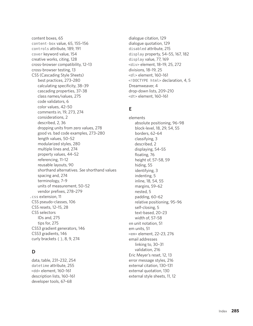content boxes, 65 content-box value, 65, 155–156 controls attribute, 189, 191 cover keyword value, 154 creative works, citing, 128 cross-browser compatibility, 12–13 cross-browser testing, 13 CSS (Cascading Style Sheets) best practices, 273–280 calculating specificity, 38–39 cascading properties, 37–38 class names/values, 275 code validators, 6 color values, 42–50 comments in, 19, 273, 274 considerations, 2 described, 2, 36 dropping units from zero values, 278 good vs. bad code examples, 273–280 length values, 50–52 modularized styles, 280 multiple lines and, 274 property values, 44–52 referencing, 11–12 reusable layouts, 90 shorthand alternatives. *See* shorthand values spacing and, 274 terminology, 7–9 units of measurement, 50–52 vendor prefixes, 278–279 .css extension, 11 CSS pseudo-classes, 106 CSS resets, 12–15, 28 CSS selectors IDs and, 275 tips for, 275 CSS3 gradient generators, 146 CSS3 gradients, 146 curly brackets { }, 8, 9, 274

### **D**

data, table, 231–232, 254 datetime attribute, 255 <dd> element, 160–161 description lists, 160–161 developer tools, 67–68

dialogue citation, 129 dialogue quotation, 129 disabled attribute, 215 display property, 54–55, 167, 182 display value, 77, 169 <div> element, 18–19, 25, 272 divisions, 18–19, 25 <dl> element, 160–161 <!DOCTYPE html> declaration, 4, 5 Dreamweaver, 4 drop-down lists, 209–210 <dt> element, 160–161

#### **E**

elements absolute positioning, 96–98 block-level, 18, 29, 54, 55 borders, 62–64 classifying, 3 described, 2 displaying, 54–55 floating, 76 height of, 57–58, 59 hiding, 55 identifying, 3 indenting, 5 inline, 18, 54, 55 margins, 59–62 nested, 5 padding, 60–62 relative positioning, 95–96 self-closing, 5 text-based, 20–23 width of, 57–58 em unit notation, 51 em units, 51 <em> element, 22–23, 276 email addresses linking to, 30–31 validation, 216 Eric Meyer's reset, 12, 13 error message styles, 216 external citation, 130–131 external quotation, 130 external style sheets, 11, 12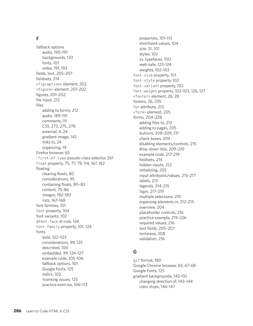#### **F**

fallback options audio, 190–191 backgrounds, 133 fonts, 101 video, 191, 193 fields, text, 205–207 fieldsets, 214 <figcaption> element, 202 <figure> element, 201–202 figures, 201–202 file input, 212 files adding to forms, 212 audio, 189–191 comments, 19 CSS, 273, 275, 278 external, 4, 24 gradient image, 142 links to, 24 organizing, 19 Firefox browser, 65 :first-of-type pseudo-class selector, 261 float property, 75, 77, 79, 114, 167, 182 floating clearing floats, 80 considerations, 95 containing floats, 80–83 content, 75–86 images, 182–183 lists, 167–168 font families, 101 font property, 104 font variants, 102 @font-face at-rule, 124 font-family property, 101, 124 fonts bold, 102–103 considerations, 99, 125 described, 100 embedded, 99, 124–127 example code, 105–106 fallback options, 101 Google Fonts, 125 italics, 102 licensing issues, 125 practice exercise, 106–113

properties, 101–113 shorthand values, 104 size, 51, 101 styles, 102 vs. typefaces, 100 web-safe, 123–124 weights, 102–103 font-size property, 101 font-style property, 102 font-variant property, 102 font-weight property, 102–103, 126, 127 <footer> element, 26, 28 footers, 26, 235 for attribute, 213 <form> element, 205 forms, 204–228 adding files to, 212 adding to pages, 205 buttons, 208–209, 211 check boxes, 209 disabling elements/controls, 215 drop-down lists, 209–210 example code, 217–219 fieldsets, 214 hidden inputs, 212 initializing, 205 input attributes/values, 215–217 labels, 213 legends, 214–215 login, 217–219 multiple selections, 210 organzing elements in, 212–215 overview, 204 placeholder controls, 216 practice example, 219–226 required values, 216 text fields, 205–207 textareas, 208 validation, 216

#### **G**

gif format, 180 Google Chrome browser, 65, 67–68 Google Fonts, 125 gradient backgrounds, 142–151 changing direction of, 143–144 color stops, 146–147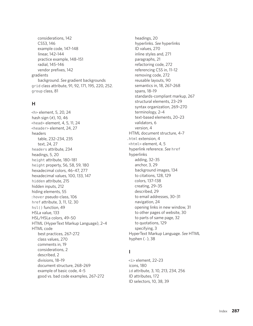considerations, 142 CSS3, 146 example code, 147–148 linear, 142–144 practice example, 148–151 radial, 145–146 vendor prefixes, 142 gradients background. *See* gradient backgrounds grid class attribute, 91, 92, 171, 195, 220, 252. group class, 81

#### **H**

<h> element, 5, 20, 24 hash sign (#), 10, 46 <head> element, 4, 5, 11, 24 <header> element, 24, 27 headers table, 232–234, 235 text, 24, 27 headers attribute, 234 headings, 5, 20 height attribute, 180–181 height property, 56, 58, 59, 180 hexadecimal colors, 46–47, 277 hexadecimal values, 100, 133, 147 hidden attribute, 215 hidden inputs, 212 hiding elements, 55 :hover pseudo-class, 106 href attribute, 3, 11, 12, 30 hsl() function, 49 HSLa value, 133 HSL/HSLa colors, 49–50 HTML (HyperText Markup Language), 2–4 HTML code best practices, 267–272 class values, 270 comments in, 19 considerations, 2 described, 2 divisions, 18–19 document structure, 268–269 example of basic code, 4–5 good vs. bad code examples, 267–272

headings, 20 hyperlinks. *See* hyperlinks ID values, 270 inline styles and, 271 paragraphs, 21 refactoring code, 272 referencing CSS in, 11–12 removing code, 272 reusable layouts, 90 semantics in, 18, 267–268 spans, 18–19 standards-compliant markup, 267 structural elements, 23–29 syntax organization, 269–270 terminology, 2–4 text-based elements, 20–23 validators, 6 version, 4 HTML document structure, 4–7 .html extension, 4 <html> element, 4, 5 hyperlink reference. *See* href hyperlinks adding, 32–35 anchor, 3, 29 background images, 134 to citations, 128, 129 colors, 137–138 creating, 29–35 described, 29 to email addresses, 30–31 navigation, 24 opening links in new window, 31 to other pages of website, 30 to parts of same page, 32 to quotations, 129 specifying, 3 HyperText Markup Language. *See* HTML hyphen (-), 38

#### **I**

<i> element, 22–23 icons, 180 id attribute, 3, 10, 213, 234, 256 ID attributes, 172 ID selectors, 10, 38, 39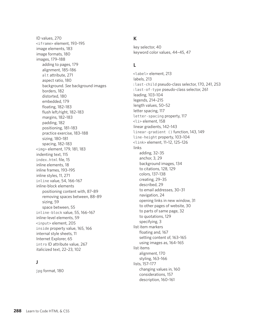ID values, 270 <iframe> element, 193–195 image elements, 183 image formats, 180 images, 179–188 adding to pages, 179 alignment, 185–186 alt attribute, 271 aspect ratio, 180 background. *See* background images borders, 182 distorted, 180 embedded, 179 floating, 182–183 flush left/right, 182–183 margins, 182–183 padding, 182 positioning, 181–183 practice exercise, 183–188 sizing, 180–181 spacing, 182–183 <img> element, 179, 181, 183 indenting text, 115 index.html file, 15 inline elements, 18 inline frames, 193–195 inline styles, 11, 271 inline value, 54, 166–167 inline-block elements positioning content with, 87–89 removing spaces between, 88–89 sizing, 59 space between, 55 inline-block value, 55, 166–167 inline-level elements, 59 <input> element, 205 inside property value, 165, 166 internal style sheets, 11 Internet Explorer, 65 intro ID attribute value, 267 italicized text, 22–23, 102

#### **J**

jpg format, 180

#### **K**

key selector, 40 keyword color values, 44–45, 47

#### **L**

<label> element, 213 labels, 213 :last-child pseudo-class selector, 170, 241, 253 :last-of-type pseudo-class selector, 261 leading, 103–104 legends, 214–215 length values, 50–52 letter spacing, 117 letter-spacing property, 117 <li> element, 158 linear gradients, 142–143 linear-gradient () function, 143, 149 line-height property, 103–104 <link> element, 11–12, 125–126 links adding, 32–35 anchor, 3, 29 background images, 134 to citations, 128, 129 colors, 137–138 creating, 29–35 described, 29 to email addresses, 30–31 navigation, 24 opening links in new window, 31 to other pages of website, 30 to parts of same page, 32 to quotations, 129 specifying, 3 list item markers floating and, 167 setting content of, 163–165 using images as, 164–165 list items alignment, 170 styling, 163–166 lists, 157–177 changing values in, 160 considerations, 157 description, 160–161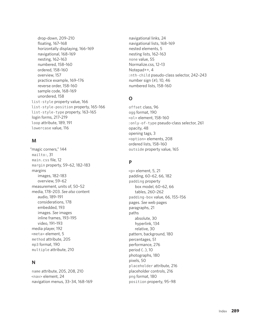drop-down, 209–210 floating, 167–168 horizontally displaying, 166–169 navigational, 168–169 nesting, 162–163 numbered, 158–160 ordered, 158–160 overview, 157 practice example, 169–176 reverse order, 158–160 sample code, 168–169 unordered, 158 list-style property value, 166 list-style-position property, 165–166 list-style-type property, 163–165 login forms, 217–219 loop attribute, 189, 191 lowercase value, 116

#### **M**

"magic corners," 144 mailto:, 31 main.css file, 12 margin property, 59–62, 182–183 margins images, 182–183 overview, 59–62 measurement, units of, 50–52 media, 178–203. *See also* content audio, 189–191 considerations, 178 embedded, 193 images. *See* images inline frames, 193–195 video, 191–193 media player, 192 <meta> element, 5 method attribute, 205 mp3 format, 190 multiple attribute, 210

#### **N**

name attribute, 205, 208, 210 <nav> element, 24 navigation menus, 33–34, 168–169 navigational links, 24 navigational lists, 168–169 nested elements, 5 nesting lists, 162–163 none value, 55 Normalize.css, 12–13 Notepad++, 4 :nth-child pseudo-class selector, 242–243 number sign (#), 10, 46 numbered lists, 158–160

### **O**

offset class, 96 ogg format, 190 <ol> element, 158–160 :only-of-type pseudo-class selector, 261 opacity, 48 opening tags, 3 <option> elements, 208 ordered lists, 158–160 outside property value, 165

#### **P**

<p> element, 5, 21 padding, 60–62, 66, 182 padding property box model, 60–62, 66 tables, 260–262 padding-box value, 66, 155–156 pages. *See* web pages paragraphs, 21 paths absolute, 30 hyperlink, 134 relative, 30 pattern, background, 180 percentages, 51 performance, 276 period (.), 10 photographs, 180 pixels, 50 placeholder attribute, 216 placeholder controls, 216 png format, 180 position property, 95–98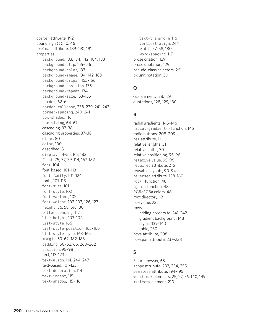poster attribute, 192 pound sign (#), 10, 46 preload attribute, 189–190, 191 properties background, 133, 134, 142, 164, 183 background-clip, 155–156 background-color, 133 background-image, 134, 142, 183 background-origin, 155–156 background-position, 135 background-repeat, 134 background-size, 153–155 border, 62–64 border-collapse, 238–239, 241, 243 border-spacing, 240–241 box-shadow, 116 box-sizing, 64–67 cascading, 37–38 cascading properties, 37–38 clear, 80 color, 100 described, 8 display, 54–55, 167, 182 float, 75, 77, 79, 114, 167, 182 font, 104 font-based, 101–113 font-family, 101, 124 fonts, 101–113 font-size, 101 font-style, 102 font-variant, 102 font-weight, 102–103, 126, 127 height, 56, 58, 59, 180 letter-spacing, 117 line-height, 103–104 list-style, 166 list-style-position, 165–166 list-style-type, 163–165 margin, 59–62, 182–183 padding, 60–62, 66, 260–262 position, 95–98 text, 113–123 text-align, 114, 244–247 text-based, 101–123 text-decoration, 114 text-indent, 115 text-shadow, 115–116

text-transform, 116 vertical-align, 244 width, 57–58, 180 word-spacing, 117 prose citation, 129 prose quotation, 129 pseudo-class selectors, 261 px unit notation, 50

### **Q**

<q> element, 128, 129 quotations, 128, 129, 130

#### **R**

radial gradients, 145–146 radial-gradient() function, 145 radio buttons, 208–209 rel attribute, 11 relative lengths, 51 relative paths, 30 relative positioning, 95–96 relative value, 95–96 required attribute, 216 reusable layouts, 90–94 reversed attribute, 158–160 rgb() function, 48 rgba() function, 48 RGB/RGBa colors, 48 root directory, 12 row value, 232 rows adding borders to, 241–242 gradient background, 148 styles, 139–140 table, 230 rows attribute, 208 rowspan attribute, 237–238

#### **S**

Safari browser, 65 scope attribute, 232, 234, 255 seamless attribute, 194–195 <section> elements, 25, 27, 76, 140, 149 <select> element, 210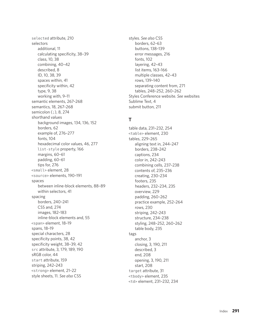selected attribute, 210 selectors additional, 11 calculating specificity, 38–39 class, 10, 38 combining, 40–42 described, 8 ID, 10, 38, 39 spaces within, 41 specificity within, 42 type, 9, 38 working with, 9–11 semantic elements, 267–268 semantics, 18, 267–268 semicolon (;), 8, 274 shorthand values background images, 134, 136, 152 borders, 62 example of, 276–277 fonts, 104 hexadecimal color values, 46, 277 list-style property, 166 margins, 60–61 padding, 60–61 tips for, 276 <small> element, 28 <source> elements, 190–191 spaces between inline-block elements, 88–89 within selectors, 41 spacing borders, 240–241 CSS and, 274 images, 182–183 inline-block elements and, 55 <span> element, 18–19 spans, 18–19 special characters, 28 specificity points, 38, 42 specificity weight, 38–39, 42 src attribute, 3, 179, 189, 190 sRGB color, 44 start attribute, 159 striping, 242–243 <strong> element, 21–22 style sheets, 11. *See also* CSS

styles. *See also* CSS borders, 62–63 buttons, 138–139 error messages, 216 fonts, 102 layering, 42–43 list items, 163–166 multiple classes, 42–43 rows, 139–140 separating content from, 271 tables, 248–252, 260–262 Styles Conference website. *See* websites Sublime Text, 4 submit button, 211

#### **T**

table data, 231–232, 254 <table> element, 230 tables, 229–265 aligning text in, 244–247 borders, 238–242 captions, 234 color in, 242–243 combining cells, 237–238 contents of, 235–236 creating, 230–234 footers, 235 headers, 232–234, 235 overview, 229 padding, 260–262 practice example, 252–264 rows, 230 striping, 242–243 structure, 234–238 styling, 248–252, 260–262 table body, 235 tags anchor, 3 closing, 3, 190, 211 described, 3 end, 208 opening, 3, 190, 211 start, 208 target attribute, 31 <tbody> element, 235 <td> element, 231–232, 234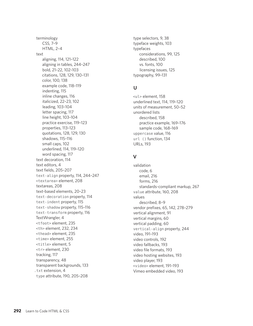terminology CSS, 7–9 HTML, 2–4 text aligning, 114, 121–122 aligning in tables, 244–247 bold, 21–22, 102–103 citations, 128, 129, 130–131 color, 100, 138 example code, 118–119 indenting, 115 inline changes, 116 italicized, 22–23, 102 leading, 103–104 letter spacing, 117 line height, 103–104 practice exercise, 119–123 properties, 113–123 quotations, 128, 129, 130 shadows, 115–116 small caps, 102 underlined, 114, 119–120 word spacing, 117 text decoration, 114 text editors, 4 text fields, 205–207 text-align property, 114, 244–247 <textarea> element, 208 textareas, 208 text-based elements, 20–23 text-decoration property, 114 text-indent property, 115 text-shadow property, 115–116 text-transform property, 116 TextWrangler, 4 <tfoot> element, 235 <th> element, 232, 234 <thead> element, 235 <time> element, 255 <title> element, 5 <tr> element, 230 tracking, 117 transparency, 48 transparent backgrounds, 133 .txt extension, 4 type attribute, 190, 205–208

type selectors, 9, 38 typeface weights, 103 typefaces considerations, 99, 125 described, 100 vs. fonts, 100 licensing issues, 125 typography, 99–131

#### **U**

<ul> element, 158 underlined text, 114, 119–120 units of measurement, 50–52 unordered lists described, 158 practice example, 169–176 sample code, 168–169 uppercase value, 116 url () function, 134 URLs, 193

#### **V**

validation code, 6 email, 216 forms, 216 standards-compliant markup, 267 value attribute, 160, 208 values described, 8–9 vendor prefixes, 65, 142, 278–279 vertical alignment, 91 vertical margins, 60 vertical padding, 60 vertical-align property, 244 video, 191–193 video controls, 192 video fallbacks, 193 video file formats, 193 video hosting websites, 193 video player, 193 <video> element, 191–193 Vimeo embedded video, 193